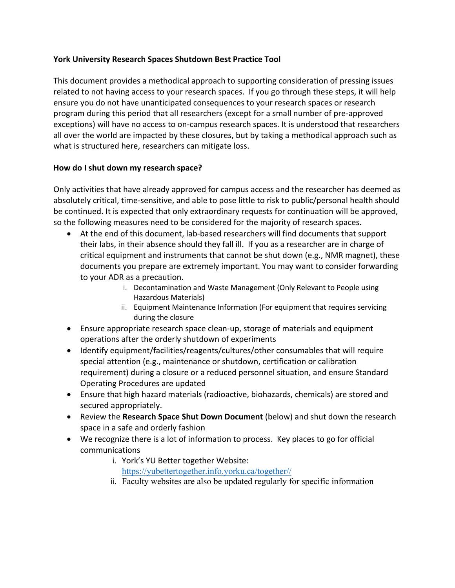#### **York University Research Spaces Shutdown Best Practice Tool**

This document provides a methodical approach to supporting consideration of pressing issues related to not having access to your research spaces. If you go through these steps, it will help ensure you do not have unanticipated consequences to your research spaces or research program during this period that all researchers (except for a small number of pre-approved exceptions) will have no access to on-campus research spaces. It is understood that researchers all over the world are impacted by these closures, but by taking a methodical approach such as what is structured here, researchers can mitigate loss.

#### **How do I shut down my research space?**

Only activities that have already approved for campus access and the researcher has deemed as absolutely critical, time-sensitive, and able to pose little to risk to public/personal health should be continued. It is expected that only extraordinary requests for continuation will be approved, so the following measures need to be considered for the majority of research spaces.

- At the end of this document, lab-based researchers will find documents that support their labs, in their absence should they fall ill. If you as a researcher are in charge of critical equipment and instruments that cannot be shut down (e.g., NMR magnet), these documents you prepare are extremely important. You may want to consider forwarding to your ADR as a precaution.
	- i. Decontamination and Waste Management (Only Relevant to People using Hazardous Materials)
	- ii. Equipment Maintenance Information (For equipment that requires servicing during the closure
- Ensure appropriate research space clean-up, storage of materials and equipment operations after the orderly shutdown of experiments
- Identify equipment/facilities/reagents/cultures/other consumables that will require special attention (e.g., maintenance or shutdown, certification or calibration requirement) during a closure or a reduced personnel situation, and ensure Standard Operating Procedures are updated
- Ensure that high hazard materials (radioactive, biohazards, chemicals) are stored and secured appropriately.
- Review the **Research Space Shut Down Document** (below) and shut down the research space in a safe and orderly fashion
- We recognize there is a lot of information to process. Key places to go for official communications
	- i. York's YU Better together Website: https://yubettertogether.info.yorku.ca/together//
	- ii. Faculty websites are also be updated regularly for specific information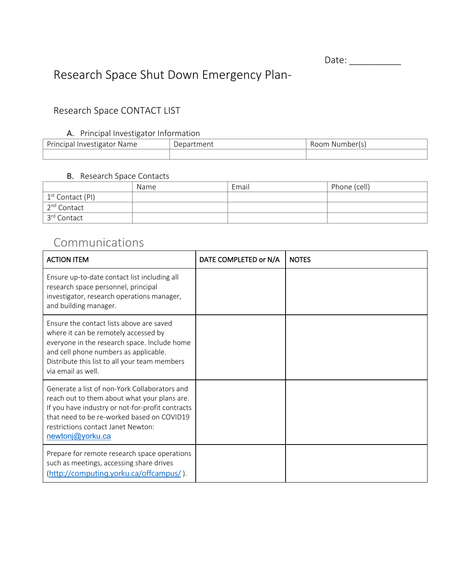Date: \_\_\_\_\_\_\_\_\_\_

# Research Space Shut Down Emergency Plan-

### Research Space CONTACT LIST

#### A. Principal Investigator Information

| Principal<br><b>Investigator</b><br>: Name | Department | Room Number(s) |
|--------------------------------------------|------------|----------------|
|                                            |            |                |

#### B. Research Space Contacts

|                              | Name | Email | Phone (cell) |
|------------------------------|------|-------|--------------|
| 1 <sup>st</sup> Contact (PI) |      |       |              |
| 2 <sup>nd</sup> Contact      |      |       |              |
| 3 <sup>rd</sup> Contact      |      |       |              |

### Communications

| <b>ACTION ITEM</b>                                                                                                                                                                                                                                        | DATE COMPLETED or N/A | <b>NOTES</b> |
|-----------------------------------------------------------------------------------------------------------------------------------------------------------------------------------------------------------------------------------------------------------|-----------------------|--------------|
| Ensure up-to-date contact list including all<br>research space personnel, principal<br>investigator, research operations manager,<br>and building manager.                                                                                                |                       |              |
| Ensure the contact lists above are saved<br>where it can be remotely accessed by<br>everyone in the research space. Include home<br>and cell phone numbers as applicable.<br>Distribute this list to all your team members<br>via email as well.          |                       |              |
| Generate a list of non-York Collaborators and<br>reach out to them about what your plans are.<br>If you have industry or not-for-profit contracts<br>that need to be re-worked based on COVID19<br>restrictions contact Janet Newton:<br>newtonj@yorku.ca |                       |              |
| Prepare for remote research space operations<br>such as meetings, accessing share drives<br>(http://computing.yorku.ca/offcampus/).                                                                                                                       |                       |              |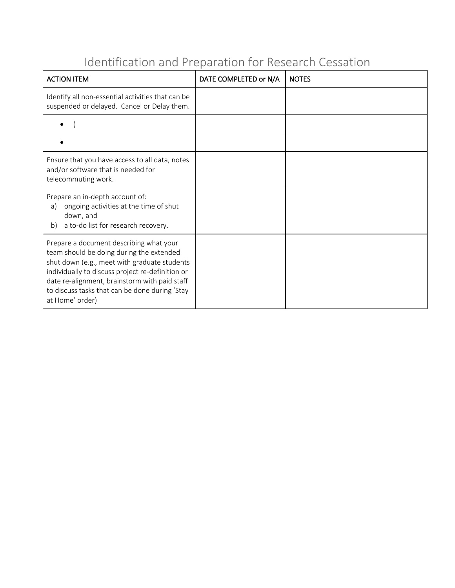# Identification and Preparation for Research Cessation

| <b>ACTION ITEM</b>                                                                                                                                                                                                                                                                                            | DATE COMPLETED or N/A | <b>NOTES</b> |
|---------------------------------------------------------------------------------------------------------------------------------------------------------------------------------------------------------------------------------------------------------------------------------------------------------------|-----------------------|--------------|
| Identify all non-essential activities that can be<br>suspended or delayed. Cancel or Delay them.                                                                                                                                                                                                              |                       |              |
|                                                                                                                                                                                                                                                                                                               |                       |              |
|                                                                                                                                                                                                                                                                                                               |                       |              |
| Ensure that you have access to all data, notes<br>and/or software that is needed for<br>telecommuting work.                                                                                                                                                                                                   |                       |              |
| Prepare an in-depth account of:<br>ongoing activities at the time of shut<br>a)<br>down, and<br>a to-do list for research recovery.<br>b)                                                                                                                                                                     |                       |              |
| Prepare a document describing what your<br>team should be doing during the extended<br>shut down (e.g., meet with graduate students<br>individually to discuss project re-definition or<br>date re-alignment, brainstorm with paid staff<br>to discuss tasks that can be done during 'Stay<br>at Home' order) |                       |              |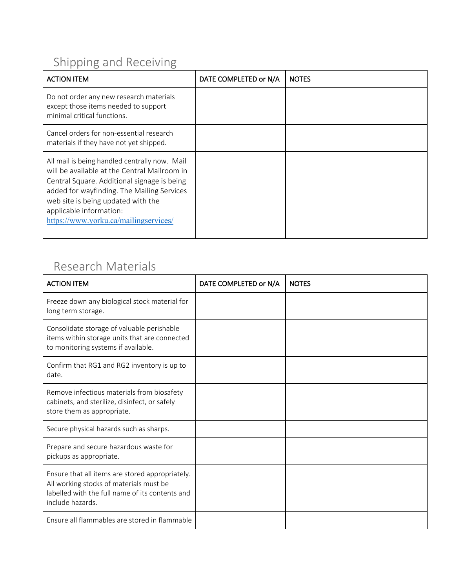# Shipping and Receiving

| <b>ACTION ITEM</b>                                                                                                                                                                                                                                                                                   | DATE COMPLETED or N/A | <b>NOTES</b> |
|------------------------------------------------------------------------------------------------------------------------------------------------------------------------------------------------------------------------------------------------------------------------------------------------------|-----------------------|--------------|
| Do not order any new research materials<br>except those items needed to support<br>minimal critical functions.                                                                                                                                                                                       |                       |              |
| Cancel orders for non-essential research<br>materials if they have not yet shipped.                                                                                                                                                                                                                  |                       |              |
| All mail is being handled centrally now. Mail<br>will be available at the Central Mailroom in<br>Central Square. Additional signage is being<br>added for wayfinding. The Mailing Services<br>web site is being updated with the<br>applicable information:<br>https://www.yorku.ca/mailingservices/ |                       |              |

## Research Materials

| <b>ACTION ITEM</b>                                                                                                                                                | DATE COMPLETED or N/A | <b>NOTES</b> |
|-------------------------------------------------------------------------------------------------------------------------------------------------------------------|-----------------------|--------------|
| Freeze down any biological stock material for<br>long term storage.                                                                                               |                       |              |
| Consolidate storage of valuable perishable<br>items within storage units that are connected<br>to monitoring systems if available.                                |                       |              |
| Confirm that RG1 and RG2 inventory is up to<br>date.                                                                                                              |                       |              |
| Remove infectious materials from biosafety<br>cabinets, and sterilize, disinfect, or safely<br>store them as appropriate.                                         |                       |              |
| Secure physical hazards such as sharps.                                                                                                                           |                       |              |
| Prepare and secure hazardous waste for<br>pickups as appropriate.                                                                                                 |                       |              |
| Ensure that all items are stored appropriately.<br>All working stocks of materials must be<br>labelled with the full name of its contents and<br>include hazards. |                       |              |
| Ensure all flammables are stored in flammable                                                                                                                     |                       |              |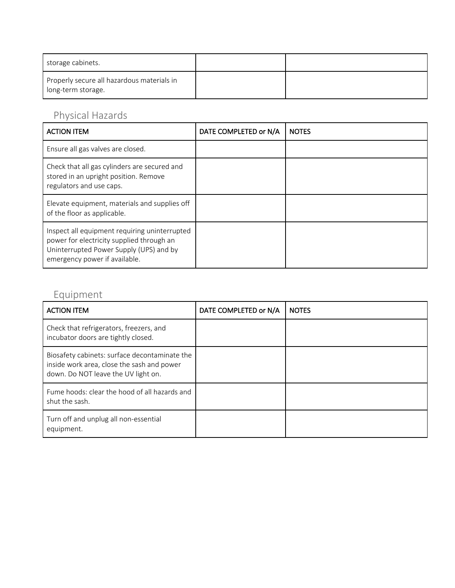| storage cabinets.                                                |  |
|------------------------------------------------------------------|--|
| Properly secure all hazardous materials in<br>long-term storage. |  |

# Physical Hazards

| <b>ACTION ITEM</b>                                                                                                                                                     | DATE COMPLETED or N/A | <b>NOTES</b> |
|------------------------------------------------------------------------------------------------------------------------------------------------------------------------|-----------------------|--------------|
| Ensure all gas valves are closed.                                                                                                                                      |                       |              |
| Check that all gas cylinders are secured and<br>stored in an upright position. Remove<br>regulators and use caps.                                                      |                       |              |
| Elevate equipment, materials and supplies off<br>of the floor as applicable.                                                                                           |                       |              |
| Inspect all equipment requiring uninterrupted<br>power for electricity supplied through an<br>Uninterrupted Power Supply (UPS) and by<br>emergency power if available. |                       |              |

# Equipment

| <b>ACTION ITEM</b>                                                                                                                 | DATE COMPLETED or N/A | <b>NOTES</b> |
|------------------------------------------------------------------------------------------------------------------------------------|-----------------------|--------------|
| Check that refrigerators, freezers, and<br>incubator doors are tightly closed.                                                     |                       |              |
| Biosafety cabinets: surface decontaminate the<br>inside work area, close the sash and power<br>down. Do NOT leave the UV light on. |                       |              |
| Fume hoods: clear the hood of all hazards and<br>shut the sash.                                                                    |                       |              |
| Turn off and unplug all non-essential<br>equipment.                                                                                |                       |              |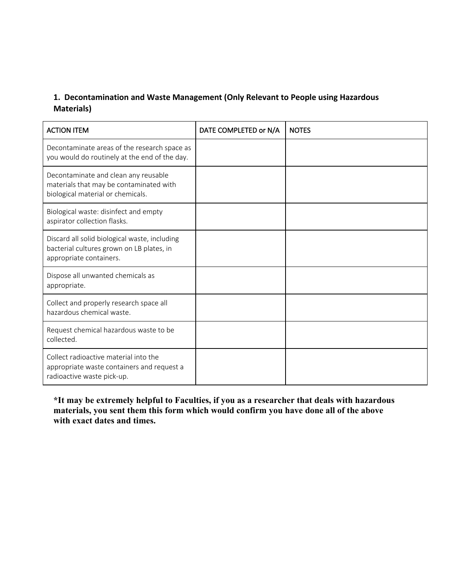#### **1. Decontamination and Waste Management (Only Relevant to People using Hazardous Materials)**

| <b>ACTION ITEM</b>                                                                                                    | DATE COMPLETED or N/A | <b>NOTES</b> |
|-----------------------------------------------------------------------------------------------------------------------|-----------------------|--------------|
| Decontaminate areas of the research space as<br>you would do routinely at the end of the day.                         |                       |              |
| Decontaminate and clean any reusable<br>materials that may be contaminated with<br>biological material or chemicals.  |                       |              |
| Biological waste: disinfect and empty<br>aspirator collection flasks.                                                 |                       |              |
| Discard all solid biological waste, including<br>bacterial cultures grown on LB plates, in<br>appropriate containers. |                       |              |
| Dispose all unwanted chemicals as<br>appropriate.                                                                     |                       |              |
| Collect and properly research space all<br>hazardous chemical waste.                                                  |                       |              |
| Request chemical hazardous waste to be<br>collected.                                                                  |                       |              |
| Collect radioactive material into the<br>appropriate waste containers and request a<br>radioactive waste pick-up.     |                       |              |

**\*It may be extremely helpful to Faculties, if you as a researcher that deals with hazardous materials, you sent them this form which would confirm you have done all of the above with exact dates and times.**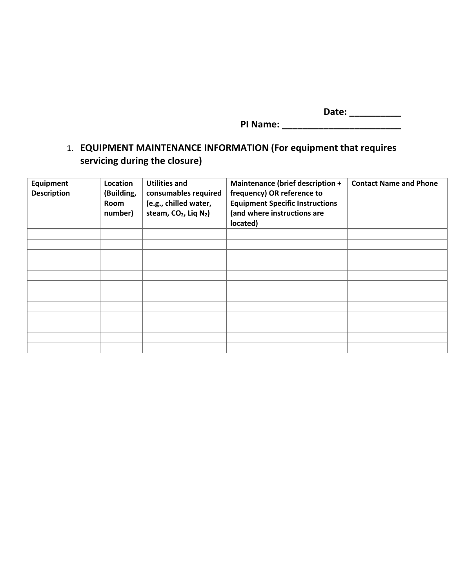**Date: \_\_\_\_\_\_\_\_\_\_ PI Name: \_\_\_\_\_\_\_\_\_\_\_\_\_\_\_\_\_\_\_\_\_\_\_**

## 1. **EQUIPMENT MAINTENANCE INFORMATION (For equipment that requires servicing during the closure)**

| <b>Equipment</b><br><b>Description</b> | Location<br>(Building,<br>Room<br>number) | <b>Utilities and</b><br>consumables required<br>(e.g., chilled water,<br>steam, CO <sub>2</sub> , Liq N <sub>2</sub> ) | Maintenance (brief description +<br>frequency) OR reference to<br><b>Equipment Specific Instructions</b><br>(and where instructions are<br>located) | <b>Contact Name and Phone</b> |
|----------------------------------------|-------------------------------------------|------------------------------------------------------------------------------------------------------------------------|-----------------------------------------------------------------------------------------------------------------------------------------------------|-------------------------------|
|                                        |                                           |                                                                                                                        |                                                                                                                                                     |                               |
|                                        |                                           |                                                                                                                        |                                                                                                                                                     |                               |
|                                        |                                           |                                                                                                                        |                                                                                                                                                     |                               |
|                                        |                                           |                                                                                                                        |                                                                                                                                                     |                               |
|                                        |                                           |                                                                                                                        |                                                                                                                                                     |                               |
|                                        |                                           |                                                                                                                        |                                                                                                                                                     |                               |
|                                        |                                           |                                                                                                                        |                                                                                                                                                     |                               |
|                                        |                                           |                                                                                                                        |                                                                                                                                                     |                               |
|                                        |                                           |                                                                                                                        |                                                                                                                                                     |                               |
|                                        |                                           |                                                                                                                        |                                                                                                                                                     |                               |
|                                        |                                           |                                                                                                                        |                                                                                                                                                     |                               |
|                                        |                                           |                                                                                                                        |                                                                                                                                                     |                               |